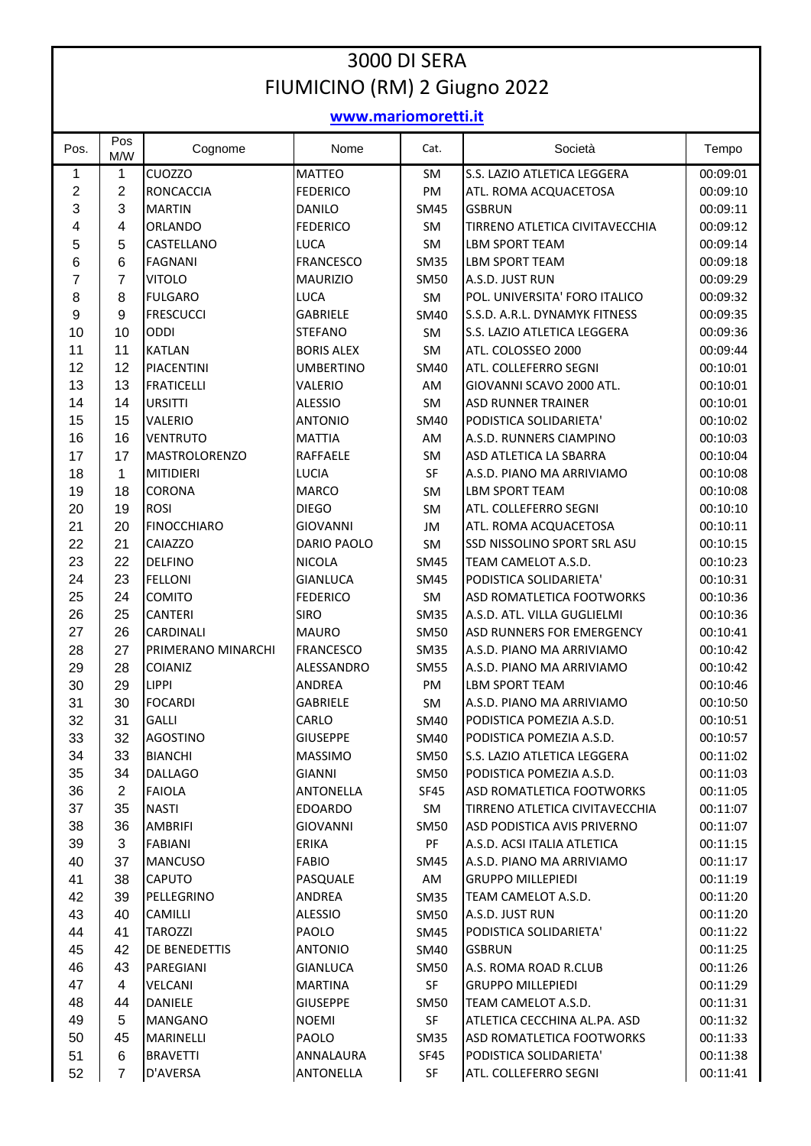## 3000 DI SERA FIUMICINO (RM) 2 Giugno 2022

## **www.mariomoretti.it**

| Pos.           | Pos<br>M/W     | Cognome              | Nome              | Cat.        | Società                        | Tempo    |
|----------------|----------------|----------------------|-------------------|-------------|--------------------------------|----------|
| $\mathbf{1}$   | 1              | CUOZZO               | <b>MATTEO</b>     | SM          | S.S. LAZIO ATLETICA LEGGERA    | 00:09:01 |
| $\overline{c}$ | $\overline{2}$ | <b>RONCACCIA</b>     | <b>FEDERICO</b>   | PM          | ATL. ROMA ACQUACETOSA          | 00:09:10 |
| 3              | 3              | <b>MARTIN</b>        | <b>DANILO</b>     | <b>SM45</b> | <b>GSBRUN</b>                  | 00:09:11 |
| 4              | 4              | ORLANDO              | <b>FEDERICO</b>   | SM          | TIRRENO ATLETICA CIVITAVECCHIA | 00:09:12 |
| 5              | 5              | CASTELLANO           | LUCA              | SM          | <b>LBM SPORT TEAM</b>          | 00:09:14 |
| $\,6$          | 6              | <b>FAGNANI</b>       | <b>FRANCESCO</b>  | <b>SM35</b> | LBM SPORT TEAM                 | 00:09:18 |
| $\overline{7}$ | $\overline{7}$ | <b>VITOLO</b>        | <b>MAURIZIO</b>   | <b>SM50</b> | A.S.D. JUST RUN                | 00:09:29 |
| 8              | 8              | <b>FULGARO</b>       | LUCA              | SM          | POL. UNIVERSITA' FORO ITALICO  | 00:09:32 |
| 9              | 9              | <b>FRESCUCCI</b>     | <b>GABRIELE</b>   | <b>SM40</b> | S.S.D. A.R.L. DYNAMYK FITNESS  | 00:09:35 |
| 10             | 10             | ODDI                 | <b>STEFANO</b>    | SM          | S.S. LAZIO ATLETICA LEGGERA    | 00:09:36 |
| 11             | 11             | <b>KATLAN</b>        | <b>BORIS ALEX</b> | SM          | ATL. COLOSSEO 2000             | 00:09:44 |
| 12             | 12             | <b>PIACENTINI</b>    | <b>UMBERTINO</b>  | SM40        | ATL. COLLEFERRO SEGNI          | 00:10:01 |
| 13             | 13             | <b>FRATICELLI</b>    | VALERIO           | AM          | GIOVANNI SCAVO 2000 ATL.       | 00:10:01 |
| 14             | 14             | <b>URSITTI</b>       | <b>ALESSIO</b>    | SM          | <b>ASD RUNNER TRAINER</b>      | 00:10:01 |
| 15             | 15             | <b>VALERIO</b>       | <b>ANTONIO</b>    | <b>SM40</b> | PODISTICA SOLIDARIETA'         | 00:10:02 |
| 16             | 16             | <b>VENTRUTO</b>      | <b>MATTIA</b>     | AM          | A.S.D. RUNNERS CIAMPINO        | 00:10:03 |
| 17             | 17             | <b>MASTROLORENZO</b> | RAFFAELE          | SM          | ASD ATLETICA LA SBARRA         | 00:10:04 |
| 18             | 1              | <b>MITIDIERI</b>     | LUCIA             | SF          | A.S.D. PIANO MA ARRIVIAMO      | 00:10:08 |
| 19             | 18             | CORONA               | <b>MARCO</b>      | SM          | <b>LBM SPORT TEAM</b>          | 00:10:08 |
| 20             | 19             | <b>ROSI</b>          | <b>DIEGO</b>      | <b>SM</b>   | ATL. COLLEFERRO SEGNI          | 00:10:10 |
| 21             | 20             | <b>FINOCCHIARO</b>   | <b>GIOVANNI</b>   | JM          | ATL. ROMA ACQUACETOSA          | 00:10:11 |
| 22             | 21             | <b>CAIAZZO</b>       | DARIO PAOLO       | SM          | SSD NISSOLINO SPORT SRL ASU    | 00:10:15 |
| 23             | 22             | <b>DELFINO</b>       | <b>NICOLA</b>     | <b>SM45</b> | TEAM CAMELOT A.S.D.            | 00:10:23 |
| 24             | 23             | <b>FELLONI</b>       | <b>GIANLUCA</b>   | <b>SM45</b> | PODISTICA SOLIDARIETA'         | 00:10:31 |
| 25             | 24             | COMITO               | <b>FEDERICO</b>   | SM          | ASD ROMATLETICA FOOTWORKS      | 00:10:36 |
| 26             | 25             | <b>CANTERI</b>       | <b>SIRO</b>       | <b>SM35</b> | A.S.D. ATL. VILLA GUGLIELMI    | 00:10:36 |
| 27             | 26             | <b>CARDINALI</b>     | <b>MAURO</b>      | <b>SM50</b> | ASD RUNNERS FOR EMERGENCY      | 00:10:41 |
| 28             | 27             | PRIMERANO MINARCHI   | <b>FRANCESCO</b>  | <b>SM35</b> | A.S.D. PIANO MA ARRIVIAMO      | 00:10:42 |
| 29             | 28             | COIANIZ              | ALESSANDRO        | <b>SM55</b> | A.S.D. PIANO MA ARRIVIAMO      | 00:10:42 |
| 30             | 29             | <b>LIPPI</b>         | ANDREA            | PM          | <b>LBM SPORT TEAM</b>          | 00:10:46 |
| 31             | 30             | <b>FOCARDI</b>       | <b>GABRIELE</b>   | SM          | A.S.D. PIANO MA ARRIVIAMO      | 00:10:50 |
| 32             | 31             | GALLI                | CARLO             | <b>SM40</b> | PODISTICA POMEZIA A.S.D.       | 00:10:51 |
| 33             | 32             | <b>AGOSTINO</b>      | <b>GIUSEPPE</b>   | SM40        | PODISTICA POMEZIA A.S.D.       | 00:10:57 |
| 34             | 33             | <b>BIANCHI</b>       | MASSIMO           | <b>SM50</b> | S.S. LAZIO ATLETICA LEGGERA    | 00:11:02 |
| 35             | 34             | <b>DALLAGO</b>       | GIANNI            | SM50        | PODISTICA POMEZIA A.S.D.       | 00:11:03 |
| 36             | $\overline{2}$ | <b>FAIOLA</b>        | ANTONELLA         | SF45        | ASD ROMATLETICA FOOTWORKS      | 00:11:05 |
| 37             | 35             | <b>NASTI</b>         | <b>EDOARDO</b>    | SM          | TIRRENO ATLETICA CIVITAVECCHIA | 00:11:07 |
| 38             | 36             | AMBRIFI              | <b>GIOVANNI</b>   | <b>SM50</b> | ASD PODISTICA AVIS PRIVERNO    | 00:11:07 |
| 39             | 3              | <b>FABIANI</b>       | <b>ERIKA</b>      | PF          | A.S.D. ACSI ITALIA ATLETICA    | 00:11:15 |
| 40             | 37             | <b>MANCUSO</b>       | <b>FABIO</b>      | SM45        | A.S.D. PIANO MA ARRIVIAMO      | 00:11:17 |
| 41             | 38             | <b>CAPUTO</b>        | PASQUALE          | AM          | <b>GRUPPO MILLEPIEDI</b>       | 00:11:19 |
| 42             | 39             | PELLEGRINO           | ANDREA            | <b>SM35</b> | TEAM CAMELOT A.S.D.            | 00:11:20 |
| 43             | 40             | CAMILLI              | ALESSIO           | <b>SM50</b> | A.S.D. JUST RUN                | 00:11:20 |
| 44             | 41             | <b>TAROZZI</b>       | PAOLO             | SM45        | PODISTICA SOLIDARIETA'         | 00:11:22 |
| 45             | 42             | DE BENEDETTIS        | <b>ANTONIO</b>    | SM40        | <b>GSBRUN</b>                  | 00:11:25 |
| 46             | 43             | PAREGIANI            | <b>GIANLUCA</b>   | <b>SM50</b> | A.S. ROMA ROAD R.CLUB          | 00:11:26 |
| 47             | 4              | <b>VELCANI</b>       | MARTINA           | SF          | <b>GRUPPO MILLEPIEDI</b>       | 00:11:29 |
| 48             | 44             | DANIELE              | <b>GIUSEPPE</b>   | <b>SM50</b> | TEAM CAMELOT A.S.D.            | 00:11:31 |
| 49             | 5              | <b>MANGANO</b>       | NOEMI             | SF          | ATLETICA CECCHINA AL.PA. ASD   | 00:11:32 |
| 50             | 45             | MARINELLI            | PAOLO             | <b>SM35</b> | ASD ROMATLETICA FOOTWORKS      | 00:11:33 |
| 51             | 6              | <b>BRAVETTI</b>      | ANNALAURA         | SF45        | PODISTICA SOLIDARIETA'         | 00:11:38 |
| 52             | 7              | D'AVERSA             | ANTONELLA         | SF          | ATL. COLLEFERRO SEGNI          | 00:11:41 |